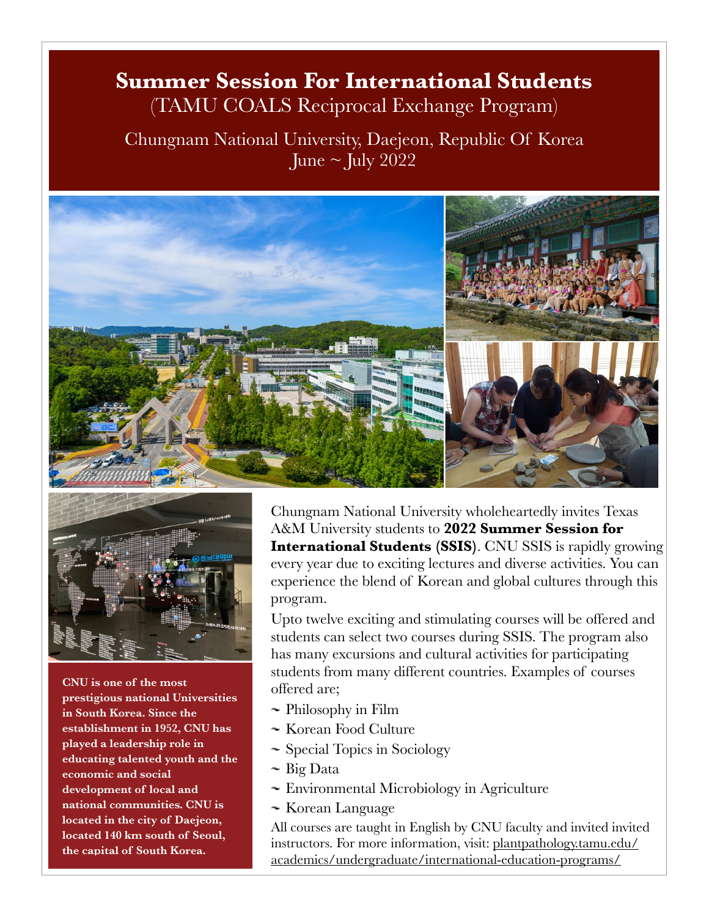## **Summer Session For International Students** (TAMU COALS Reciprocal Exchange Program)

Chungnam National University, Daejeon, Republic Of Korea June  $\sim$  July 2022





**CNU is one of the most prestigious national Universities in South Korea. Since the establishment in 1952, CNU has played a leadership role in educating talented youth and the economic and social development of local and national communities. CNU is located in the city of Daejeon, located 140 km south of Seoul, the capital of South Korea.**

Chungnam National University wholeheartedly invites Texas A&M University students to **2022 Summer Session for International Students (SSIS)**. CNU SSIS is rapidly growing every year due to exciting lectures and diverse activities. You can experience the blend of Korean and global cultures through this program.

Upto twelve exciting and stimulating courses will be offered and students can select two courses during SSIS. The program also has many excursions and cultural activities for participating students from many different countries. Examples of courses offered are;

- $\sim$  Philosophy in Film
- $\sim$  Korean Food Culture
- Special Topics in Sociology
- $\sim$  Big Data
- Environmental Microbiology in Agriculture
- Korean Language

All courses are taught in English by CNU faculty and invited invited [instructors. For more information, visit: plantpathology.tamu.edu/](http://plantpathology.tamu.edu/academics/undergraduate/international-education-programs/) [academics/undergraduate/international-education-programs/](http://plantpathology.tamu.edu/academics/undergraduate/international-education-programs/)